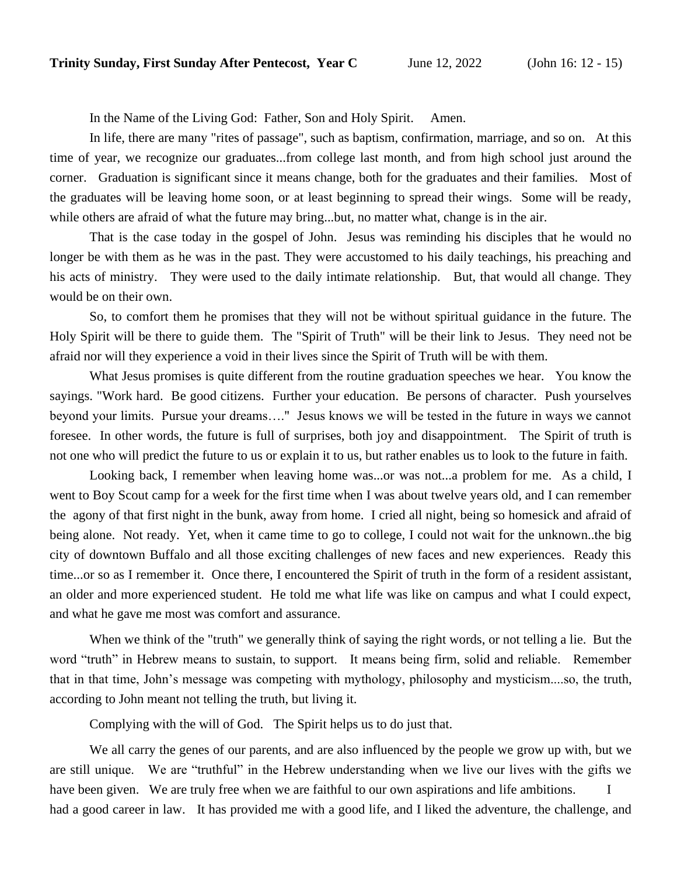In the Name of the Living God: Father, Son and Holy Spirit. Amen.

In life, there are many "rites of passage", such as baptism, confirmation, marriage, and so on. At this time of year, we recognize our graduates...from college last month, and from high school just around the corner. Graduation is significant since it means change, both for the graduates and their families. Most of the graduates will be leaving home soon, or at least beginning to spread their wings. Some will be ready, while others are afraid of what the future may bring...but, no matter what, change is in the air.

That is the case today in the gospel of John. Jesus was reminding his disciples that he would no longer be with them as he was in the past. They were accustomed to his daily teachings, his preaching and his acts of ministry. They were used to the daily intimate relationship. But, that would all change. They would be on their own.

So, to comfort them he promises that they will not be without spiritual guidance in the future. The Holy Spirit will be there to guide them. The "Spirit of Truth" will be their link to Jesus. They need not be afraid nor will they experience a void in their lives since the Spirit of Truth will be with them.

What Jesus promises is quite different from the routine graduation speeches we hear. You know the sayings. "Work hard. Be good citizens. Further your education. Be persons of character. Push yourselves beyond your limits. Pursue your dreams…." Jesus knows we will be tested in the future in ways we cannot foresee. In other words, the future is full of surprises, both joy and disappointment. The Spirit of truth is not one who will predict the future to us or explain it to us, but rather enables us to look to the future in faith.

Looking back, I remember when leaving home was...or was not...a problem for me. As a child, I went to Boy Scout camp for a week for the first time when I was about twelve years old, and I can remember the agony of that first night in the bunk, away from home. I cried all night, being so homesick and afraid of being alone. Not ready. Yet, when it came time to go to college, I could not wait for the unknown..the big city of downtown Buffalo and all those exciting challenges of new faces and new experiences. Ready this time...or so as I remember it. Once there, I encountered the Spirit of truth in the form of a resident assistant, an older and more experienced student. He told me what life was like on campus and what I could expect, and what he gave me most was comfort and assurance.

When we think of the "truth" we generally think of saying the right words, or not telling a lie. But the word "truth" in Hebrew means to sustain, to support. It means being firm, solid and reliable. Remember that in that time, John's message was competing with mythology, philosophy and mysticism....so, the truth, according to John meant not telling the truth, but living it.

Complying with the will of God. The Spirit helps us to do just that.

We all carry the genes of our parents, and are also influenced by the people we grow up with, but we are still unique. We are "truthful" in the Hebrew understanding when we live our lives with the gifts we have been given. We are truly free when we are faithful to our own aspirations and life ambitions. I had a good career in law. It has provided me with a good life, and I liked the adventure, the challenge, and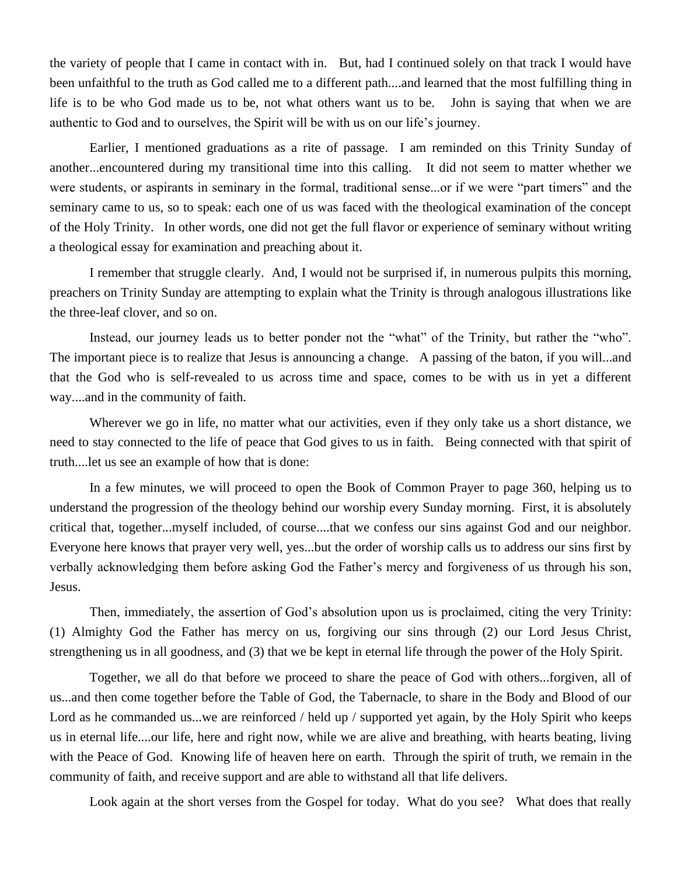the variety of people that I came in contact with in. But, had I continued solely on that track I would have been unfaithful to the truth as God called me to a different path....and learned that the most fulfilling thing in life is to be who God made us to be, not what others want us to be. John is saying that when we are authentic to God and to ourselves, the Spirit will be with us on our life's journey.

Earlier, I mentioned graduations as a rite of passage. I am reminded on this Trinity Sunday of another...encountered during my transitional time into this calling. It did not seem to matter whether we were students, or aspirants in seminary in the formal, traditional sense...or if we were "part timers" and the seminary came to us, so to speak: each one of us was faced with the theological examination of the concept of the Holy Trinity. In other words, one did not get the full flavor or experience of seminary without writing a theological essay for examination and preaching about it.

I remember that struggle clearly. And, I would not be surprised if, in numerous pulpits this morning, preachers on Trinity Sunday are attempting to explain what the Trinity is through analogous illustrations like the three-leaf clover, and so on.

Instead, our journey leads us to better ponder not the "what" of the Trinity, but rather the "who". The important piece is to realize that Jesus is announcing a change. A passing of the baton, if you will...and that the God who is self-revealed to us across time and space, comes to be with us in yet a different way....and in the community of faith.

Wherever we go in life, no matter what our activities, even if they only take us a short distance, we need to stay connected to the life of peace that God gives to us in faith. Being connected with that spirit of truth....let us see an example of how that is done:

In a few minutes, we will proceed to open the Book of Common Prayer to page 360, helping us to understand the progression of the theology behind our worship every Sunday morning. First, it is absolutely critical that, together...myself included, of course....that we confess our sins against God and our neighbor. Everyone here knows that prayer very well, yes...but the order of worship calls us to address our sins first by verbally acknowledging them before asking God the Father's mercy and forgiveness of us through his son, Jesus.

Then, immediately, the assertion of God's absolution upon us is proclaimed, citing the very Trinity: (1) Almighty God the Father has mercy on us, forgiving our sins through (2) our Lord Jesus Christ, strengthening us in all goodness, and (3) that we be kept in eternal life through the power of the Holy Spirit.

Together, we all do that before we proceed to share the peace of God with others...forgiven, all of us...and then come together before the Table of God, the Tabernacle, to share in the Body and Blood of our Lord as he commanded us...we are reinforced / held up / supported yet again, by the Holy Spirit who keeps us in eternal life....our life, here and right now, while we are alive and breathing, with hearts beating, living with the Peace of God. Knowing life of heaven here on earth. Through the spirit of truth, we remain in the community of faith, and receive support and are able to withstand all that life delivers.

Look again at the short verses from the Gospel for today. What do you see? What does that really